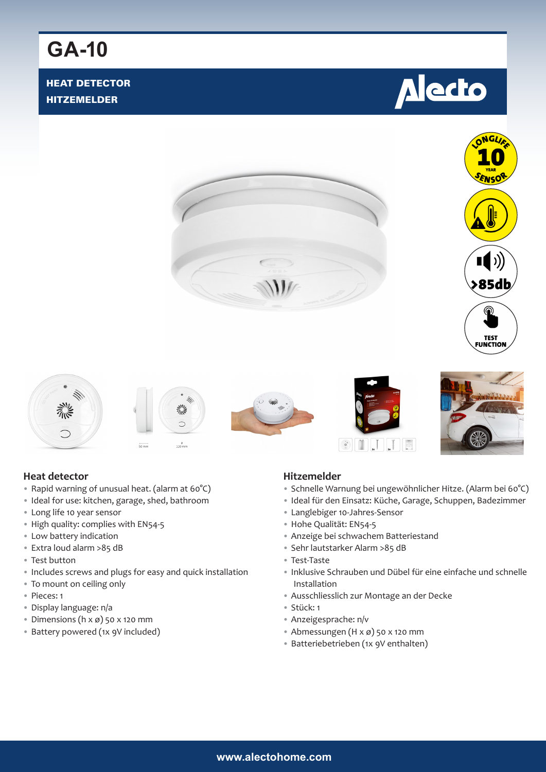# **GA-10**

### HEAT DETECTOR HITZEMELDER

















#### **Heat detector**

- Rapid warning of unusual heat. (alarm at 60°C)
- Ideal for use: kitchen, garage, shed, bathroom
- Long life 10 year sensor
- High quality: complies with EN54-5
- Low battery indication
- Extra loud alarm >85 dB
- Test button
- Includes screws and plugs for easy and quick installation
- To mount on ceiling only
- Pieces: 1
- Display language: n/a
- Dimensions ( $h \times \emptyset$ ) 50 x 120 mm
- Battery powered (1x 9V included)

#### **Hitzemelder**

- Schnelle Warnung bei ungewöhnlicher Hitze. (Alarm bei 60°C)
- Ideal für den Einsatz: Küche, Garage, Schuppen, Badezimmer
- Langlebiger 10-Jahres-Sensor
- Hohe Qualität: EN54-5
- Anzeige bei schwachem Batteriestand
- Sehr lautstarker Alarm >85 dB
- Test-Taste
- Inklusive Schrauben und Dübel für eine einfache und schnelle Installation
- Ausschliesslich zur Montage an der Decke
- Stück: 1
- Anzeigesprache: n/v
- Abmessungen (H x ø) 50 x 120 mm
- Batteriebetrieben (1x 9V enthalten)